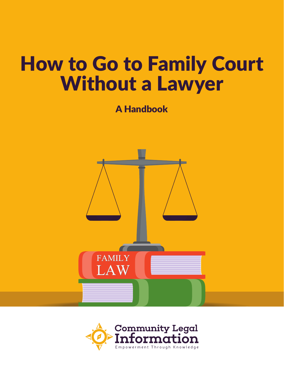# How to Go to Family Court Without a Lawyer

A Handbook



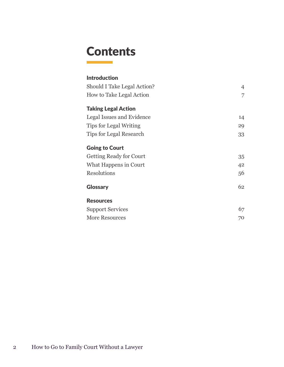# **Contents**

| <b>Introduction</b>            |    |
|--------------------------------|----|
| Should I Take Legal Action?    | 4  |
| How to Take Legal Action       | 7  |
| <b>Taking Legal Action</b>     |    |
| Legal Issues and Evidence      | 14 |
| Tips for Legal Writing         | 29 |
| Tips for Legal Research        | 33 |
| <b>Going to Court</b>          |    |
| <b>Getting Ready for Court</b> | 35 |
| What Happens in Court          | 42 |
| <b>Resolutions</b>             | 56 |
| <b>Glossary</b>                | 62 |
| <b>Resources</b>               |    |
| <b>Support Services</b>        | 67 |
| <b>More Resources</b>          | 70 |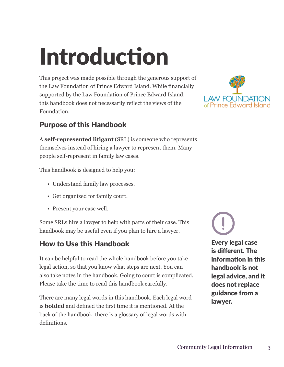# Introduction

This project was made possible through the generous support of the Law Foundation of Prince Edward Island. While financially supported by the Law Foundation of Prince Edward Island, this handbook does not necessarily reflect the views of the Foundation.



# Purpose of this Handbook

A **self-represented litigant** (SRL) is someone who represents themselves instead of hiring a lawyer to represent them. Many people self-represent in family law cases.

This handbook is designed to help you:

- Understand family law processes.
- Get organized for family court.
- Present your case well.

Some SRLs hire a lawyer to help with parts of their case. This handbook may be useful even if you plan to hire a lawyer.

# How to Use this Handbook

It can be helpful to read the whole handbook before you take legal action, so that you know what steps are next. You can also take notes in the handbook. Going to court is complicated. Please take the time to read this handbook carefully.

There are many legal words in this handbook. Each legal word is **bolded** and defined the first time it is mentioned. At the back of the handbook, there is a glossary of legal words with definitions.

Every legal case is different. The information in this handbook is not legal advice, and it does not replace guidance from a lawyer.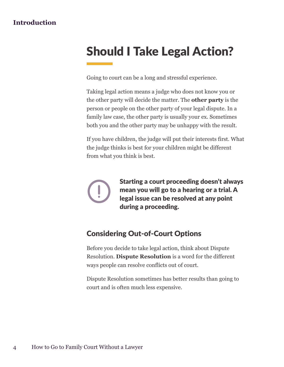## **Introduction**

# Should I Take Legal Action?

Going to court can be a long and stressful experience.

Taking legal action means a judge who does not know you or the other party will decide the matter. The **other party** is the person or people on the other party of your legal dispute. In a family law case, the other party is usually your ex. Sometimes both you and the other party may be unhappy with the result.

If you have children, the judge will put their interests first. What the judge thinks is best for your children might be different from what you think is best.



Starting a court proceeding doesn't always mean you will go to a hearing or a trial. A legal issue can be resolved at any point during a proceeding.

# Considering Out-of-Court Options

Before you decide to take legal action, think about Dispute Resolution. **Dispute Resolution** is a word for the different ways people can resolve conflicts out of court.

Dispute Resolution sometimes has better results than going to court and is often much less expensive.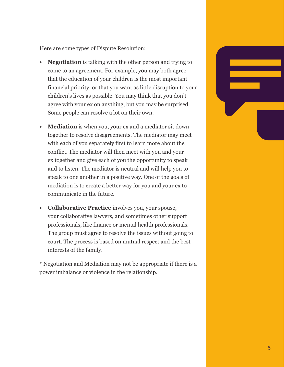Here are some types of Dispute Resolution:

- **• Negotiation** is talking with the other person and trying to come to an agreement. For example, you may both agree that the education of your children is the most important financial priority, or that you want as little disruption to your children's lives as possible. You may think that you don't agree with your ex on anything, but you may be surprised. Some people can resolve a lot on their own.
- **• Mediation** is when you, your ex and a mediator sit down together to resolve disagreements. The mediator may meet with each of you separately first to learn more about the conflict. The mediator will then meet with you and your ex together and give each of you the opportunity to speak and to listen. The mediator is neutral and will help you to speak to one another in a positive way. One of the goals of mediation is to create a better way for you and your ex to communicate in the future.
- **• Collaborative Practice** involves you, your spouse, your collaborative lawyers, and sometimes other support professionals, like finance or mental health professionals. The group must agree to resolve the issues without going to court. The process is based on mutual respect and the best interests of the family.

\* Negotiation and Mediation may not be appropriate if there is a power imbalance or violence in the relationship.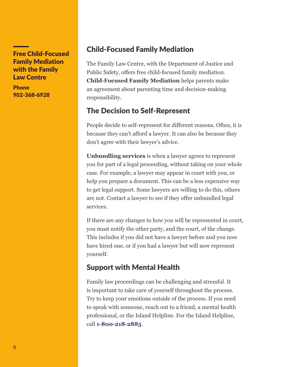Free Child-Focused Family Mediation with the Family Law Centre

Phone 902-368-6928

# Child-Focused Family Mediation

The Family Law Centre, with the Department of Justice and Public Safety, offers free child-focused family mediation. **Child-Focused Family Mediation** helps parents make an agreement about parenting time and decision-making responsibility.

## The Decision to Self-Represent

People decide to self-represent for different reasons. Often, it is because they can't afford a lawyer. It can also be because they don't agree with their lawyer's advice.

**Unbundling services** is when a lawyer agrees to represent you for part of a legal proceeding, without taking on your whole case. For example, a lawyer may appear in court with you, or help you prepare a document. This can be a less expensive way to get legal support. Some lawyers are willing to do this, others are not. Contact a lawyer to see if they offer unbundled legal services.

If there are any changes to how you will be represented in court, you must notify the other party, and the court, of the change. This includes if you did not have a lawyer before and you now have hired one, or if you had a lawyer but will now represent yourself.

# Support with Mental Health

Family law proceedings can be challenging and stressful. It is important to take care of yourself throughout the process. Try to keep your emotions outside of the process. If you need to speak with someone, reach out to a friend, a mental health professional, or the Island Helpline. For the Island Helpline, call **1-800-218-2885**.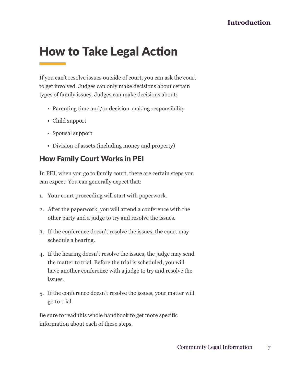# How to Take Legal Action

If you can't resolve issues outside of court, you can ask the court to get involved. Judges can only make decisions about certain types of family issues. Judges can make decisions about:

- Parenting time and/or decision-making responsibility
- Child support
- Spousal support
- Division of assets (including money and property)

# How Family Court Works in PEI

In PEI, when you go to family court, there are certain steps you can expect. You can generally expect that:

- 1. Your court proceeding will start with paperwork.
- 2. After the paperwork, you will attend a conference with the other party and a judge to try and resolve the issues.
- 3. If the conference doesn't resolve the issues, the court may schedule a hearing.
- 4. If the hearing doesn't resolve the issues, the judge may send the matter to trial. Before the trial is scheduled, you will have another conference with a judge to try and resolve the issues.
- 5. If the conference doesn't resolve the issues, your matter will go to trial.

Be sure to read this whole handbook to get more specific information about each of these steps.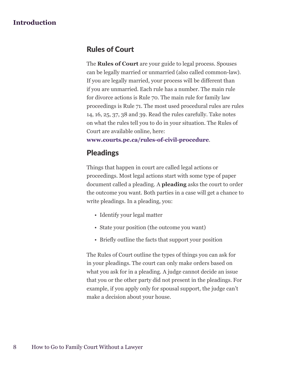## **Introduction**

### Rules of Court

The **Rules of Court** are your guide to legal process. Spouses can be legally married or unmarried (also called common-law). If you are legally married, your process will be different than if you are unmarried. Each rule has a number. The main rule for divorce actions is Rule 70. The main rule for family law proceedings is Rule 71. The most used procedural rules are rules 14, 16, 25, 37, 38 and 39. Read the rules carefully. Take notes on what the rules tell you to do in your situation. The Rules of Court are available online, here:

#### **www.courts.pe.ca/rules-of-civil-procedure**.

#### **Pleadings**

Things that happen in court are called legal actions or proceedings. Most legal actions start with some type of paper document called a pleading. A **pleading** asks the court to order the outcome you want. Both parties in a case will get a chance to write pleadings. In a pleading, you:

- Identify your legal matter
- State your position (the outcome you want)
- Briefly outline the facts that support your position

The Rules of Court outline the types of things you can ask for in your pleadings. The court can only make orders based on what you ask for in a pleading. A judge cannot decide an issue that you or the other party did not present in the pleadings. For example, if you apply only for spousal support, the judge can't make a decision about your house.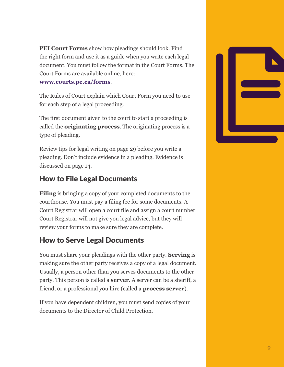**PEI Court Forms** show how pleadings should look. Find the right form and use it as a guide when you write each legal document. You must follow the format in the Court Forms. The Court Forms are available online, here:

#### **www.courts.pe.ca/forms**.

The Rules of Court explain which Court Form you need to use for each step of a legal proceeding.

The first document given to the court to start a proceeding is called the **originating process**. The originating process is a type of pleading.

Review tips for legal writing on page 29 before you write a pleading. Don't include evidence in a pleading. Evidence is discussed on page 14.

# How to File Legal Documents

**Filing** is bringing a copy of your completed documents to the courthouse. You must pay a filing fee for some documents. A Court Registrar will open a court file and assign a court number. Court Registrar will not give you legal advice, but they will review your forms to make sure they are complete.

# How to Serve Legal Documents

You must share your pleadings with the other party. **Serving** is making sure the other party receives a copy of a legal document. Usually, a person other than you serves documents to the other party. This person is called a **server**. A server can be a sheriff, a friend, or a professional you hire (called a **process server**).

If you have dependent children, you must send copies of your documents to the Director of Child Protection.

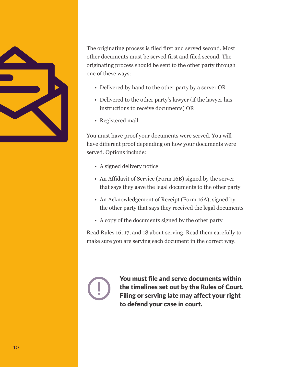

The originating process is filed first and served second. Most other documents must be served first and filed second. The originating process should be sent to the other party through one of these ways:

- Delivered by hand to the other party by a server OR
- Delivered to the other party's lawyer (if the lawyer has instructions to receive documents) OR
- Registered mail

You must have proof your documents were served. You will have different proof depending on how your documents were served. Options include:

- A signed delivery notice
- An Affidavit of Service (Form 16B) signed by the server that says they gave the legal documents to the other party
- An Acknowledgement of Receipt (Form 16A), signed by the other party that says they received the legal documents
- A copy of the documents signed by the other party

Read Rules 16, 17, and 18 about serving. Read them carefully to make sure you are serving each document in the correct way.



You must file and serve documents within the timelines set out by the Rules of Court. Filing or serving late may affect your right to defend your case in court.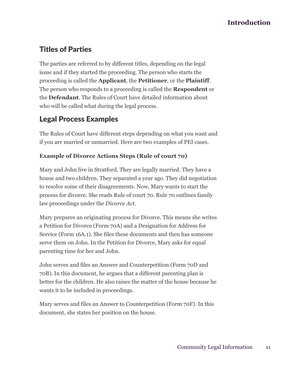#### **Introduction**

# Titles of Parties

The parties are referred to by different titles, depending on the legal issue and if they started the proceeding. The person who starts the proceeding is called the **Applicant**, the **Petitioner**, or the **Plaintiff**. The person who responds to a proceeding is called the **Respondent** or the **Defendant**. The Rules of Court have detailed information about who will be called what during the legal process.

# Legal Process Examples

The Rules of Court have different steps depending on what you want and if you are married or unmarried. Here are two examples of PEI cases.

#### **Example of Divorce Actions Steps (Rule of court 70)**

Mary and John live in Stratford. They are legally married. They have a house and two children. They separated a year ago. They did negotiation to resolve some of their disagreements. Now, Mary wants to start the process for divorce. She reads Rule of court 70. Rule 70 outlines family law proceedings under the *Divorce Act*.

Mary prepares an originating process for Divorce. This means she writes a Petition for Divorce (Form 70A) and a Designation for Address for Service (Form 16A.1). She files these documents and then has someone serve them on John. In the Petition for Divorce, Mary asks for equal parenting time for her and John.

John serves and files an Answer and Counterpetition (Form 70D and 70B). In this document, he argues that a different parenting plan is better for the children. He also raises the matter of the house because he wants it to be included in proceedings.

Mary serves and files an Answer to Counterpetition (Form 70F). In this document, she states her position on the house.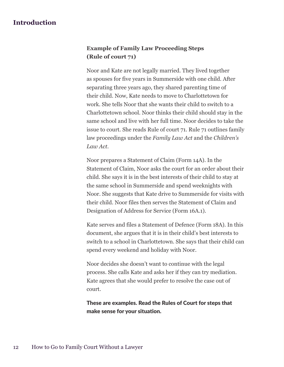#### **Introduction**

#### **Example of Family Law Proceeding Steps (Rule of court 71)**

Noor and Kate are not legally married. They lived together as spouses for five years in Summerside with one child. After separating three years ago, they shared parenting time of their child. Now, Kate needs to move to Charlottetown for work. She tells Noor that she wants their child to switch to a Charlottetown school. Noor thinks their child should stay in the same school and live with her full time. Noor decides to take the issue to court. She reads Rule of court 71. Rule 71 outlines family law proceedings under the *Family Law Act* and the *Children's Law Act*.

Noor prepares a Statement of Claim (Form 14A). In the Statement of Claim, Noor asks the court for an order about their child. She says it is in the best interests of their child to stay at the same school in Summerside and spend weeknights with Noor. She suggests that Kate drive to Summerside for visits with their child. Noor files then serves the Statement of Claim and Designation of Address for Service (Form 16A.1).

Kate serves and files a Statement of Defence (Form 18A). In this document, she argues that it is in their child's best interests to switch to a school in Charlottetown. She says that their child can spend every weekend and holiday with Noor.

Noor decides she doesn't want to continue with the legal process. She calls Kate and asks her if they can try mediation. Kate agrees that she would prefer to resolve the case out of court.

These are examples. Read the Rules of Court for steps that make sense for your situation.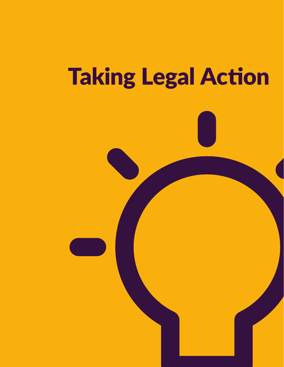Community Legal Information 13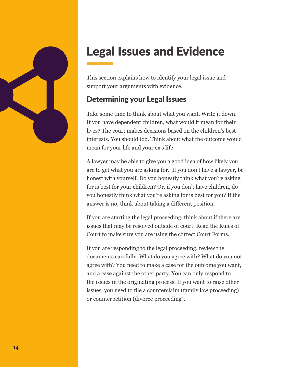

# Legal Issues and Evidence

This section explains how to identify your legal issue and support your arguments with evidence.

# Determining your Legal Issues

Take some time to think about what you want. Write it down. If you have dependent children, what would it mean for their lives? The court makes decisions based on the children's best interests. You should too. Think about what the outcome would mean for your life and your ex's life.

A lawyer may be able to give you a good idea of how likely you are to get what you are asking for. If you don't have a lawyer, be honest with yourself. Do you honestly think what you're asking for is best for your children? Or, if you don't have children, do you honestly think what you're asking for is best for you? If the answer is no, think about taking a different position.

If you are starting the legal proceeding, think about if there are issues that may be resolved outside of court. Read the Rules of Court to make sure you are using the correct Court Forms.

If you are responding to the legal proceeding, review the documents carefully. What do you agree with? What do you not agree with? You need to make a case for the outcome you want, and a case against the other party. You can only respond to the issues in the originating process. If you want to raise other issues, you need to file a counterclaim (family law proceeding) or counterpetition (divorce proceeding).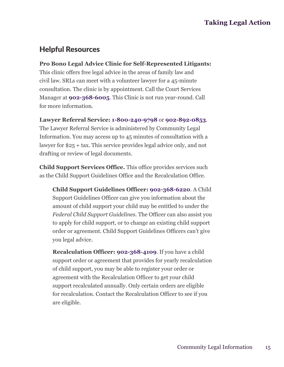#### Helpful Resources

#### **Pro Bono Legal Advice Clinic for Self-Represented Litigants:**

This clinic offers free legal advice in the areas of family law and civil law. SRLs can meet with a volunteer lawyer for a 45-minute consultation. The clinic is by appointment. Call the Court Services Manager at **902-368-6005**. This Clinic is not run year-round. Call for more information.

#### **Lawyer Referral Service: 1-800-240-9798** or **902-892-0853**.

The Lawyer Referral Service is administered by Community Legal Information. You may access up to 45 minutes of consultation with a lawyer for \$25 + tax. This service provides legal advice only, and not drafting or review of legal documents.

**Child Support Services Office.** This office provides services such as the Child Support Guidelines Office and the Recalculation Office.

**Child Support Guidelines Officer: 902-368-6220**. A Child Support Guidelines Officer can give you information about the amount of child support your child may be entitled to under the *Federal Child Support Guidelines.* The Officer can also assist you to apply for child support, or to change an existing child support order or agreement. Child Support Guidelines Officers can't give you legal advice.

**Recalculation Officer: 902-368-4109**. If you have a child support order or agreement that provides for yearly recalculation of child support, you may be able to register your order or agreement with the Recalculation Officer to get your child support recalculated annually. Only certain orders are eligible for recalculation. Contact the Recalculation Officer to see if you are eligible.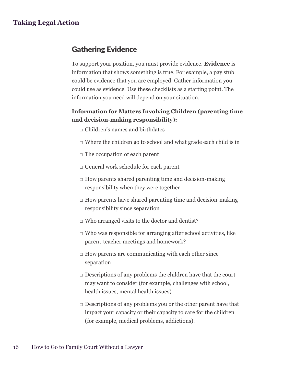#### Gathering Evidence

To support your position, you must provide evidence. **Evidence** is information that shows something is true. For example, a pay stub could be evidence that you are employed. Gather information you could use as evidence. Use these checklists as a starting point. The information you need will depend on your situation.

#### **Information for Matters Involving Children (parenting time and decision-making responsibility):**

- $\Box$  Children's names and birthdates
- $\Box$  Where the children go to school and what grade each child is in
- $\Box$  The occupation of each parent
- ƛ General work schedule for each parent
- $\Box$  How parents shared parenting time and decision-making responsibility when they were together
- $\Box$  How parents have shared parenting time and decision-making responsibility since separation
- $\Box$  Who arranged visits to the doctor and dentist?
- $\Box$  Who was responsible for arranging after school activities, like parent-teacher meetings and homework?
- $\Box$  How parents are communicating with each other since separation
- $\Box$  Descriptions of any problems the children have that the court may want to consider (for example, challenges with school, health issues, mental health issues)
- $\Box$  Descriptions of any problems you or the other parent have that impact your capacity or their capacity to care for the children (for example, medical problems, addictions).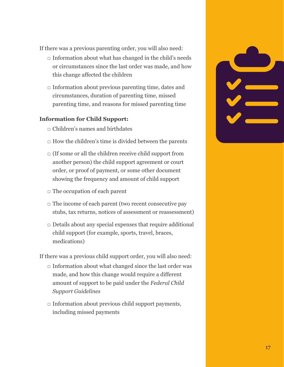If there was a previous parenting order, you will also need:

- $\Box$  Information about what has changed in the child's needs or circumstances since the last order was made, and how this change affected the children
- $\Box$  Information about previous parenting time, dates and circumstances, duration of parenting time, missed parenting time, and reasons for missed parenting time

#### **Information for Child Support:**

- $\Box$  Children's names and birthdates
- $\Box$  How the children's time is divided between the parents
- $\Box$  (If some or all the children receive child support from another person) the child support agreement or court order, or proof of payment, or some other document showing the frequency and amount of child support
- $\Box$  The occupation of each parent
- $\Box$  The income of each parent (two recent consecutive pay stubs, tax returns, notices of assessment or reassessment)
- $\Box$  Details about any special expenses that require additional child support (for example, sports, travel, braces, medications)

If there was a previous child support order, you will also need:

- $\Box$  Information about what changed since the last order was made, and how this change would require a different amount of support to be paid under the *Federal Child Support Guidelines*
- $\Box$  Information about previous child support payments, including missed payments

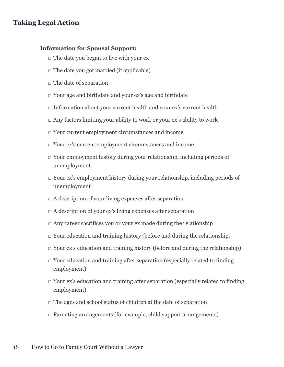#### **Information for Spousal Support:**

- $\Box$  The date you began to live with your ex
- $\Box$  The date you got married (if applicable)
- $\Box$  The date of separation
- ƛ Your age and birthdate and your ex's age and birthdate
- $\Box$  Information about your current health and your ex's current health
- $\Box$  Any factors limiting your ability to work or your ex's ability to work
- ƛ Your current employment circumstances and income
- ƛ Your ex's current employment circumstances and income
- $\Box$  Your employment history during your relationship, including periods of unemployment
- $\Box$  Your ex's employment history during your relationship, including periods of unemployment
- $\Box$  A description of your living expenses after separation
- $\Box$  A description of your ex's living expenses after separation
- $\Box$  Any career sacrifices you or your ex made during the relationship
- $\Box$  Your education and training history (before and during the relationship)
- $\Box$  Your ex's education and training history (before and during the relationship)
- $\Box$  Your education and training after separation (especially related to finding employment)
- $\Box$  Your ex's education and training after separation (especially related to finding employment)
- $\Box$  The ages and school status of children at the date of separation
- $\Box$  Parenting arrangements (for example, child support arrangements)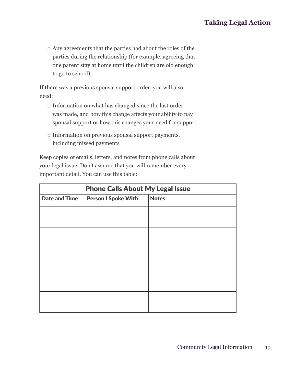$\Box$  Any agreements that the parties had about the roles of the parties during the relationship (for example, agreeing that one parent stay at home until the children are old enough to go to school)

If there was a previous spousal support order, you will also need:

- $\Box$  Information on what has changed since the last order was made, and how this change affects your ability to pay spousal support or how this changes your need for support
- $\Box$  Information on previous spousal support payments, including missed payments

Keep copies of emails, letters, and notes from phone calls about your legal issue. Don't assume that you will remember every important detail. You can use this table:

| <b>Phone Calls About My Legal Issue</b> |              |  |
|-----------------------------------------|--------------|--|
| <b>Date and Time</b>                    | <b>Notes</b> |  |
|                                         |              |  |
|                                         |              |  |
|                                         |              |  |
|                                         |              |  |
|                                         |              |  |
|                                         |              |  |
|                                         |              |  |
|                                         |              |  |
|                                         |              |  |
|                                         |              |  |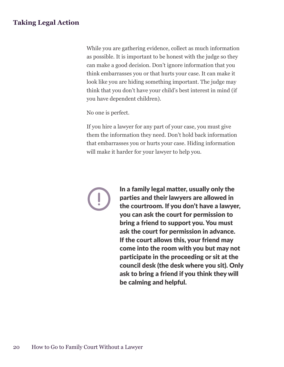While you are gathering evidence, collect as much information as possible. It is important to be honest with the judge so they can make a good decision. Don't ignore information that you think embarrasses you or that hurts your case. It can make it look like you are hiding something important. The judge may think that you don't have your child's best interest in mind (if you have dependent children).

No one is perfect.

If you hire a lawyer for any part of your case, you must give them the information they need. Don't hold back information that embarrasses you or hurts your case. Hiding information will make it harder for your lawyer to help you.

In a family legal matter, usually only the parties and their lawyers are allowed in the courtroom. If you don't have a lawyer, you can ask the court for permission to bring a friend to support you. You must ask the court for permission in advance. If the court allows this, your friend may come into the room with you but may not participate in the proceeding or sit at the council desk (the desk where you sit). Only ask to bring a friend if you think they will be calming and helpful.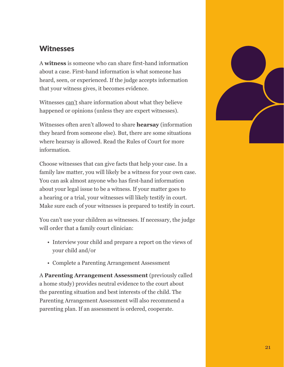# **Witnesses**

A **witness** is someone who can share first-hand information about a case. First-hand information is what someone has heard, seen, or experienced. If the judge accepts information that your witness gives, it becomes evidence.

Witnesses can't share information about what they believe happened or opinions (unless they are expert witnesses).

Witnesses often aren't allowed to share **hearsay** (information they heard from someone else). But, there are some situations where hearsay is allowed. Read the Rules of Court for more information.

Choose witnesses that can give facts that help your case. In a family law matter, you will likely be a witness for your own case. You can ask almost anyone who has first-hand information about your legal issue to be a witness. If your matter goes to a hearing or a trial, your witnesses will likely testify in court. Make sure each of your witnesses is prepared to testify in court.

You can't use your children as witnesses. If necessary, the judge will order that a family court clinician:

- Interview your child and prepare a report on the views of your child and/or
- Complete a Parenting Arrangement Assessment

A **Parenting Arrangement Assessment** (previously called a home study) provides neutral evidence to the court about the parenting situation and best interests of the child. The Parenting Arrangement Assessment will also recommend a parenting plan. If an assessment is ordered, cooperate.

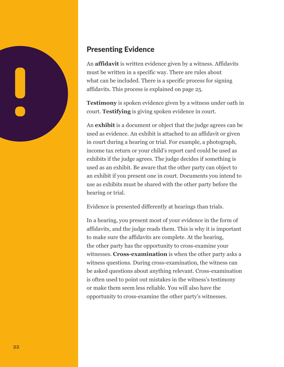## Presenting Evidence

An **affidavit** is written evidence given by a witness. Affidavits must be written in a specific way. There are rules about what can be included. There is a specific process for signing affidavits. This process is explained on page 25.

**Testimony** is spoken evidence given by a witness under oath in court. **Testifying** is giving spoken evidence in court.

An **exhibit** is a document or object that the judge agrees can be used as evidence. An exhibit is attached to an affidavit or given in court during a hearing or trial. For example, a photograph, income tax return or your child's report card could be used as exhibits if the judge agrees. The judge decides if something is used as an exhibit. Be aware that the other party can object to an exhibit if you present one in court. Documents you intend to use as exhibits must be shared with the other party before the hearing or trial.

Evidence is presented differently at hearings than trials.

In a hearing, you present most of your evidence in the form of affidavits, and the judge reads them. This is why it is important to make sure the affidavits are complete. At the hearing, the other party has the opportunity to cross-examine your witnesses. **Cross-examination** is when the other party asks a witness questions. During cross-examination, the witness can be asked questions about anything relevant. Cross-examination is often used to point out mistakes in the witness's testimony or make them seem less reliable. You will also have the opportunity to cross-examine the other party's witnesses.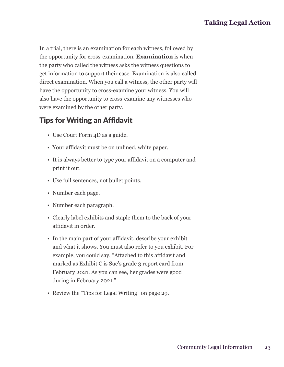In a trial, there is an examination for each witness, followed by the opportunity for cross-examination. **Examination** is when the party who called the witness asks the witness questions to get information to support their case. Examination is also called direct examination. When you call a witness, the other party will have the opportunity to cross-examine your witness. You will also have the opportunity to cross-examine any witnesses who were examined by the other party.

#### Tips for Writing an Affidavit

- Use Court Form 4D as a guide.
- Your affidavit must be on unlined, white paper.
- It is always better to type your affidavit on a computer and print it out.
- Use full sentences, not bullet points.
- Number each page.
- Number each paragraph.
- Clearly label exhibits and staple them to the back of your affidavit in order.
- In the main part of your affidavit, describe your exhibit and what it shows. You must also refer to you exhibit. For example, you could say, "Attached to this affidavit and marked as Exhibit C is Sue's grade 3 report card from February 2021. As you can see, her grades were good during in February 2021."
- Review the "Tips for Legal Writing" on page 29.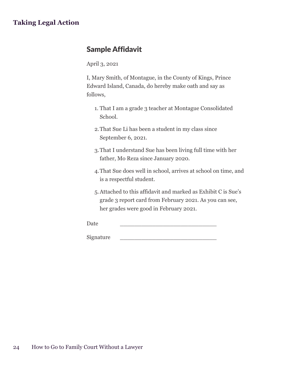#### Sample Affidavit

April 3, 2021

I, Mary Smith, of Montague, in the County of Kings, Prince Edward Island, Canada, do hereby make oath and say as follows,

- 1. That I am a grade 3 teacher at Montague Consolidated School.
- 2.That Sue Li has been a student in my class since September 6, 2021.
- 3.That I understand Sue has been living full time with her father, Mo Reza since January 2020.
- 4.That Sue does well in school, arrives at school on time, and is a respectful student.
- 5.Attached to this affidavit and marked as Exhibit C is Sue's grade 3 report card from February 2021. As you can see, her grades were good in February 2021.

| $\mathbf{D}$ . |  |
|----------------|--|
|                |  |

Signature \_\_\_\_\_\_\_\_\_\_\_\_\_\_\_\_\_\_\_\_\_\_\_\_\_\_\_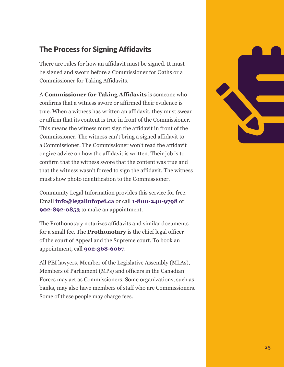# The Process for Signing Affidavits

There are rules for how an affidavit must be signed. It must be signed and sworn before a Commissioner for Oaths or a Commissioner for Taking Affidavits.

A **Commissioner for Taking Affidavits** is someone who confirms that a witness swore or affirmed their evidence is true. When a witness has written an affidavit, they must swear or affirm that its content is true in front of the Commissioner. This means the witness must sign the affidavit in front of the Commissioner. The witness can't bring a signed affidavit to a Commissioner. The Commissioner won't read the affidavit or give advice on how the affidavit is written. Their job is to confirm that the witness swore that the content was true and that the witness wasn't forced to sign the affidavit. The witness must show photo identification to the Commissioner.

Community Legal Information provides this service for free. Email **info@legalinfopei.ca** or call **1-800-240-9798** or **902-892-0853** to make an appointment.

The Prothonotary notarizes affidavits and similar documents for a small fee. The **Prothonotary** is the chief legal officer of the court of Appeal and the Supreme court. To book an appointment, call **902-368-6067**.

All PEI lawyers, Member of the Legislative Assembly (MLAs), Members of Parliament (MPs) and officers in the Canadian Forces may act as Commissioners. Some organizations, such as banks, may also have members of staff who are Commissioners. Some of these people may charge fees.

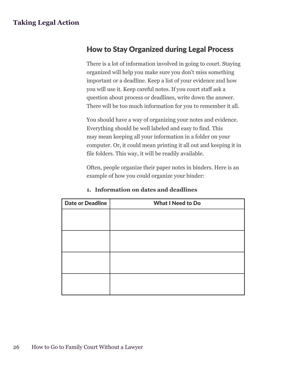## How to Stay Organized during Legal Process

There is a lot of information involved in going to court. Staying organized will help you make sure you don't miss something important or a deadline. Keep a list of your evidence and how you will use it. Keep careful notes. If you court staff ask a question about process or deadlines, write down the answer. There will be too much information for you to remember it all.

You should have a way of organizing your notes and evidence. Everything should be well labeled and easy to find. This may mean keeping all your information in a folder on your computer. Or, it could mean printing it all out and keeping it in file folders. This way, it will be readily available.

Often, people organize their paper notes in binders. Here is an example of how you could organize your binder:

| <b>Date or Deadline</b> | <b>What I Need to Do</b> |  |
|-------------------------|--------------------------|--|
|                         |                          |  |
|                         |                          |  |
|                         |                          |  |
|                         |                          |  |
|                         |                          |  |
|                         |                          |  |
|                         |                          |  |
|                         |                          |  |

#### **1. Information on dates and deadlines**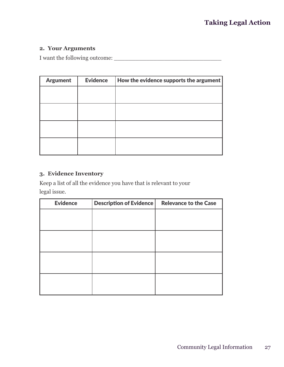#### **2. Your Arguments**

I want the following outcome: \_\_\_\_\_\_\_\_\_\_\_\_\_\_\_\_\_\_\_\_\_\_\_\_\_\_\_\_\_\_

| <b>Argument</b> | <b>Evidence</b> | How the evidence supports the argument |
|-----------------|-----------------|----------------------------------------|
|                 |                 |                                        |
|                 |                 |                                        |
|                 |                 |                                        |
|                 |                 |                                        |
|                 |                 |                                        |
|                 |                 |                                        |
|                 |                 |                                        |
|                 |                 |                                        |

#### **3. Evidence Inventory**

Keep a list of all the evidence you have that is relevant to your legal issue.

| <b>Evidence</b> | <b>Description of Evidence</b> | <b>Relevance to the Case</b> |
|-----------------|--------------------------------|------------------------------|
|                 |                                |                              |
|                 |                                |                              |
|                 |                                |                              |
|                 |                                |                              |
|                 |                                |                              |
|                 |                                |                              |
|                 |                                |                              |
|                 |                                |                              |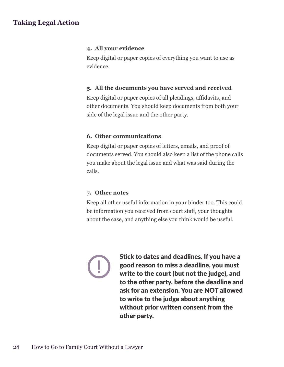#### **4. All your evidence**

Keep digital or paper copies of everything you want to use as evidence.

#### **5. All the documents you have served and received**

Keep digital or paper copies of all pleadings, affidavits, and other documents. You should keep documents from both your side of the legal issue and the other party.

#### **6. Other communications**

Keep digital or paper copies of letters, emails, and proof of documents served. You should also keep a list of the phone calls you make about the legal issue and what was said during the calls.

#### **7. Other notes**

Keep all other useful information in your binder too. This could be information you received from court staff, your thoughts about the case, and anything else you think would be useful.

> Stick to dates and deadlines. If you have a good reason to miss a deadline, you must write to the court (but not the judge), and to the other party, before the deadline and ask for an extension. You are NOT allowed to write to the judge about anything without prior written consent from the other party.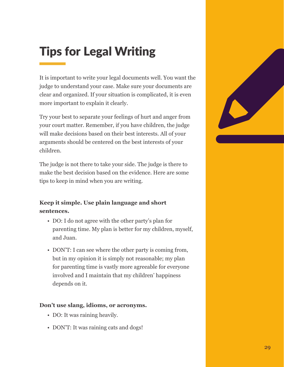# Tips for Legal Writing

It is important to write your legal documents well. You want the judge to understand your case. Make sure your documents are clear and organized. If your situation is complicated, it is even more important to explain it clearly.

Try your best to separate your feelings of hurt and anger from your court matter. Remember, if you have children, the judge will make decisions based on their best interests. All of your arguments should be centered on the best interests of your children.

The judge is not there to take your side. The judge is there to make the best decision based on the evidence. Here are some tips to keep in mind when you are writing.

#### **Keep it simple. Use plain language and short sentences.**

- DO: I do not agree with the other party's plan for parenting time. My plan is better for my children, myself, and Juan.
- DON'T: I can see where the other party is coming from, but in my opinion it is simply not reasonable; my plan for parenting time is vastly more agreeable for everyone involved and I maintain that my children' happiness depends on it.

#### **Don't use slang, idioms, or acronyms.**

- DO: It was raining heavily.
- DON'T: It was raining cats and dogs!

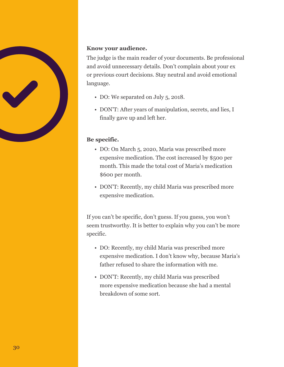#### **Know your audience.**

The judge is the main reader of your documents. Be professional and avoid unnecessary details. Don't complain about your ex or previous court decisions. Stay neutral and avoid emotional language.

- DO: We separated on July 5, 2018.
- DON'T: After years of manipulation, secrets, and lies, I finally gave up and left her.

#### **Be specific.**

- DO: On March 5, 2020, Maria was prescribed more expensive medication. The cost increased by \$500 per month. This made the total cost of Maria's medication \$600 per month.
- DON'T: Recently, my child Maria was prescribed more expensive medication.

If you can't be specific, don't guess. If you guess, you won't seem trustworthy. It is better to explain why you can't be more specific.

- DO: Recently, my child Maria was prescribed more expensive medication. I don't know why, because Maria's father refused to share the information with me.
- DON'T: Recently, my child Maria was prescribed more expensive medication because she had a mental breakdown of some sort.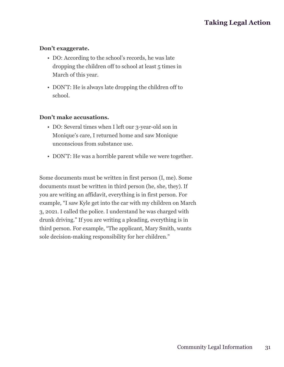#### **Don't exaggerate.**

- DO: According to the school's records, he was late dropping the children off to school at least 5 times in March of this year.
- DON'T: He is always late dropping the children off to school.

#### **Don't make accusations.**

- DO: Several times when I left our 3-year-old son in Monique's care, I returned home and saw Monique unconscious from substance use.
- DON'T: He was a horrible parent while we were together.

Some documents must be written in first person (I, me). Some documents must be written in third person (he, she, they). If you are writing an affidavit, everything is in first person. For example, "I saw Kyle get into the car with my children on March 3, 2021. I called the police. I understand he was charged with drunk driving." If you are writing a pleading, everything is in third person. For example, "The applicant, Mary Smith, wants sole decision-making responsibility for her children."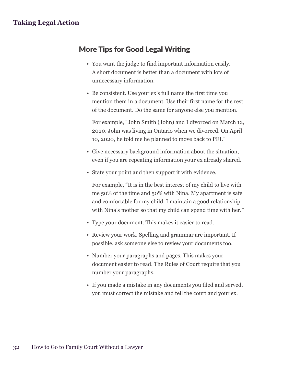#### More Tips for Good Legal Writing

- You want the judge to find important information easily. A short document is better than a document with lots of unnecessary information.
- Be consistent. Use your ex's full name the first time you mention them in a document. Use their first name for the rest of the document. Do the same for anyone else you mention.

For example, "John Smith (John) and I divorced on March 12, 2020. John was living in Ontario when we divorced. On April 10, 2020, he told me he planned to move back to PEI."

- Give necessary background information about the situation, even if you are repeating information your ex already shared.
- State your point and then support it with evidence.

For example, "It is in the best interest of my child to live with me 50% of the time and 50% with Nina. My apartment is safe and comfortable for my child. I maintain a good relationship with Nina's mother so that my child can spend time with her."

- Type your document. This makes it easier to read.
- Review your work. Spelling and grammar are important. If possible, ask someone else to review your documents too.
- Number your paragraphs and pages. This makes your document easier to read. The Rules of Court require that you number your paragraphs.
- If you made a mistake in any documents you filed and served, you must correct the mistake and tell the court and your ex.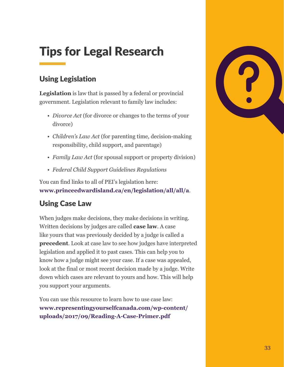# Tips for Legal Research

# Using Legislation

**Legislation** is law that is passed by a federal or provincial government. Legislation relevant to family law includes:

- *• Divorce Act* (for divorce or changes to the terms of your divorce)
- *• Children's Law Act* (for parenting time, decision-making responsibility, child support, and parentage)
- *• Family Law Act* (for spousal support or property division)
- *• Federal Child Support Guidelines Regulations*

You can find links to all of PEI's legislation here: **www.princeedwardisland.ca/en/legislation/all/all/a**.

# Using Case Law

When judges make decisions, they make decisions in writing. Written decisions by judges are called **case law**. A case like yours that was previously decided by a judge is called a **precedent**. Look at case law to see how judges have interpreted legislation and applied it to past cases. This can help you to know how a judge might see your case. If a case was appealed, look at the final or most recent decision made by a judge. Write down which cases are relevant to yours and how. This will help you support your arguments.

You can use this resource to learn how to use case law: **www.representingyourselfcanada.com/wp-content/ uploads/2017/09/Reading-A-Case-Primer.pdf**

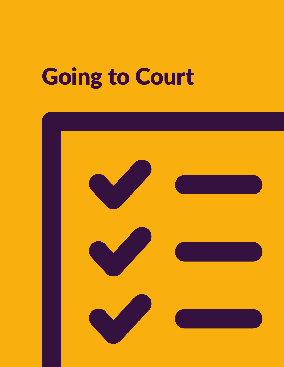# Going to Court

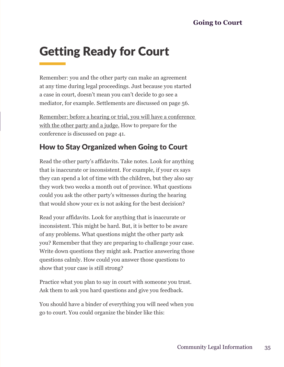# Getting Ready for Court

Remember: you and the other party can make an agreement at any time during legal proceedings. Just because you started a case in court, doesn't mean you can't decide to go see a mediator, for example. Settlements are discussed on page 56.

Remember: before a hearing or trial, you will have a conference with the other party and a judge. How to prepare for the conference is discussed on page 41.

# How to Stay Organized when Going to Court

Read the other party's affidavits. Take notes. Look for anything that is inaccurate or inconsistent. For example, if your ex says they can spend a lot of time with the children, but they also say they work two weeks a month out of province. What questions could you ask the other party's witnesses during the hearing that would show your ex is not asking for the best decision?

Read your affidavits. Look for anything that is inaccurate or inconsistent. This might be hard. But, it is better to be aware of any problems. What questions might the other party ask you? Remember that they are preparing to challenge your case. Write down questions they might ask. Practice answering those questions calmly. How could you answer those questions to show that your case is still strong?

Practice what you plan to say in court with someone you trust. Ask them to ask you hard questions and give you feedback.

You should have a binder of everything you will need when you go to court. You could organize the binder like this: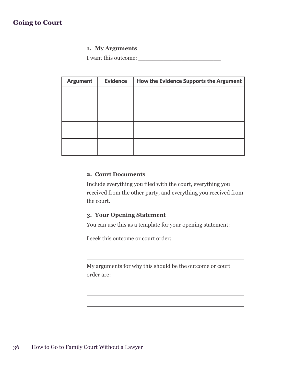#### **Going to Court**

#### **1. My Arguments**

I want this outcome: \_\_\_\_\_\_\_\_\_\_\_\_\_\_\_\_\_\_\_\_\_\_\_

| <b>Argument</b> | <b>Evidence</b> | How the Evidence Supports the Argument |
|-----------------|-----------------|----------------------------------------|
|                 |                 |                                        |
|                 |                 |                                        |
|                 |                 |                                        |
|                 |                 |                                        |
|                 |                 |                                        |
|                 |                 |                                        |
|                 |                 |                                        |
|                 |                 |                                        |

#### **2. Court Documents**

Include everything you filed with the court, everything you received from the other party, and everything you received from the court.

#### **3. Your Opening Statement**

You can use this as a template for your opening statement:

I seek this outcome or court order:

My arguments for why this should be the outcome or court order are: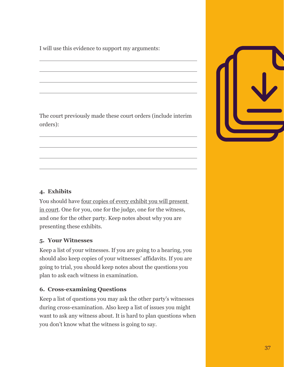I will use this evidence to support my arguments:

The court previously made these court orders (include interim orders):

### **4. Exhibits**

You should have four copies of every exhibit you will present in court. One for you, one for the judge, one for the witness, and one for the other party. Keep notes about why you are presenting these exhibits.

### **5. Your Witnesses**

Keep a list of your witnesses. If you are going to a hearing, you should also keep copies of your witnesses' affidavits. If you are going to trial, you should keep notes about the questions you plan to ask each witness in examination.

### **6. Cross-examining Questions**

Keep a list of questions you may ask the other party's witnesses during cross-examination. Also keep a list of issues you might want to ask any witness about. It is hard to plan questions when you don't know what the witness is going to say.

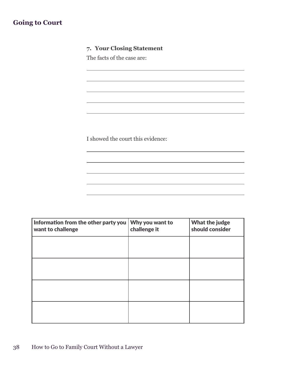### **7. Your Closing Statement**

The facts of the case are:

I showed the court this evidence:

Information from the other party you Why you want to want to challenge challenge it What the judge should consider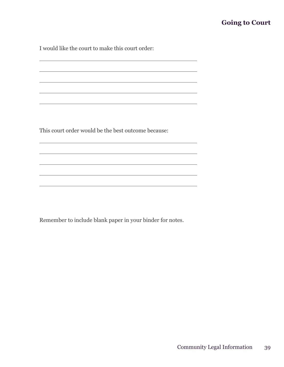I would like the court to make this court order:

This court order would be the best outcome because:

Remember to include blank paper in your binder for notes.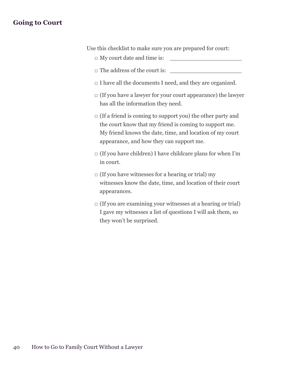Use this checklist to make sure you are prepared for court:

- $\Box$  My court date and time is:
- $\Box$  The address of the court is:  $\Box$
- $\Box$  I have all the documents I need, and they are organized.
- $\Box$  (If you have a lawyer for your court appearance) the lawyer has all the information they need.
- $\Box$  (If a friend is coming to support you) the other party and the court know that my friend is coming to support me. My friend knows the date, time, and location of my court appearance, and how they can support me.
- $\Box$  (If you have children) I have childcare plans for when I'm in court.
- $\Box$  (If you have witnesses for a hearing or trial) my witnesses know the date, time, and location of their court appearances.
- $\Box$  (If you are examining your witnesses at a hearing or trial) I gave my witnesses a list of questions I will ask them, so they won't be surprised.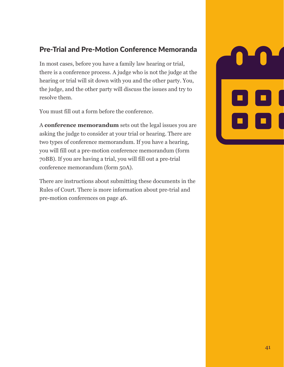# Pre-Trial and Pre-Motion Conference Memoranda

In most cases, before you have a family law hearing or trial, there is a conference process. A judge who is not the judge at the hearing or trial will sit down with you and the other party. You, the judge, and the other party will discuss the issues and try to resolve them.

You must fill out a form before the conference.

A **conference memorandum** sets out the legal issues you are asking the judge to consider at your trial or hearing. There are two types of conference memorandum. If you have a hearing, you will fill out a pre-motion conference memorandum (form 70BB). If you are having a trial, you will fill out a pre-trial conference memorandum (form 50A).

There are instructions about submitting these documents in the Rules of Court. There is more information about pre-trial and pre-motion conferences on page 46.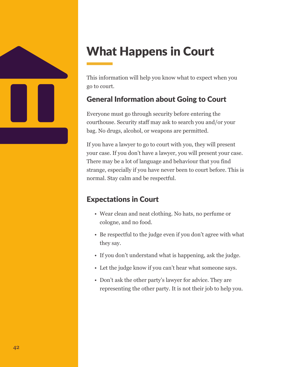# What Happens in Court

This information will help you know what to expect when you go to court.

# General Information about Going to Court

Everyone must go through security before entering the courthouse. Security staff may ask to search you and/or your bag. No drugs, alcohol, or weapons are permitted.

If you have a lawyer to go to court with you, they will present your case. If you don't have a lawyer, you will present your case. There may be a lot of language and behaviour that you find strange, especially if you have never been to court before. This is normal. Stay calm and be respectful.

# Expectations in Court

- Wear clean and neat clothing. No hats, no perfume or cologne, and no food.
- Be respectful to the judge even if you don't agree with what they say.
- If you don't understand what is happening, ask the judge.
- Let the judge know if you can't hear what someone says.
- Don't ask the other party's lawyer for advice. They are representing the other party. It is not their job to help you.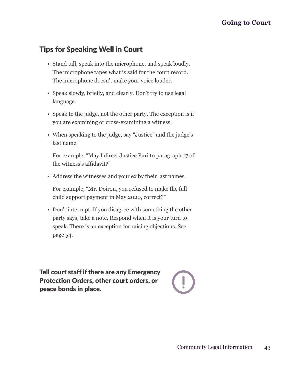# Tips for Speaking Well in Court

- Stand tall, speak into the microphone, and speak loudly. The microphone tapes what is said for the court record. The microphone doesn't make your voice louder.
- Speak slowly, briefly, and clearly. Don't try to use legal language.
- Speak to the judge, not the other party. The exception is if you are examining or cross-examining a witness.
- When speaking to the judge, say "Justice" and the judge's last name.

For example, "May I direct Justice Puri to paragraph 17 of the witness's affidavit?"

• Address the witnesses and your ex by their last names.

For example, "Mr. Doiron, you refused to make the full child support payment in May 2020, correct?"

• Don't interrupt. If you disagree with something the other party says, take a note. Respond when it is your turn to speak. There is an exception for raising objections. See page 54.

Tell court staff if there are any Emergency Protection Orders, other court orders, or peace bonds in place.

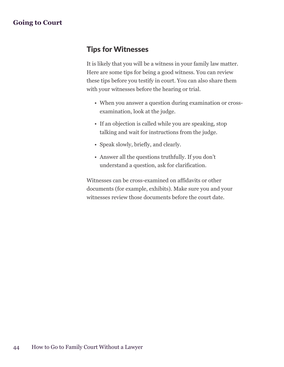# Tips for Witnesses

It is likely that you will be a witness in your family law matter. Here are some tips for being a good witness. You can review these tips before you testify in court. You can also share them with your witnesses before the hearing or trial.

- When you answer a question during examination or crossexamination, look at the judge.
- If an objection is called while you are speaking, stop talking and wait for instructions from the judge.
- Speak slowly, briefly, and clearly.
- Answer all the questions truthfully. If you don't understand a question, ask for clarification.

Witnesses can be cross-examined on affidavits or other documents (for example, exhibits). Make sure you and your witnesses review those documents before the court date.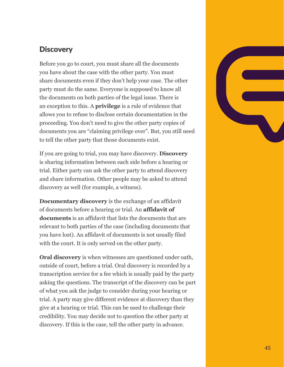# **Discovery**

Before you go to court, you must share all the documents you have about the case with the other party. You must share documents even if they don't help your case. The other party must do the same. Everyone is supposed to know all the documents on both parties of the legal issue. There is an exception to this. A **privilege** is a rule of evidence that allows you to refuse to disclose certain documentation in the proceeding. You don't need to give the other party copies of documents you are "claiming privilege over". But, you still need to tell the other party that those documents exist.

If you are going to trial, you may have discovery. **Discovery** is sharing information between each side before a hearing or trial. Either party can ask the other party to attend discovery and share information. Other people may be asked to attend discovery as well (for example, a witness).

**Documentary discovery** is the exchange of an affidavit of documents before a hearing or trial. An **affidavit of documents** is an affidavit that lists the documents that are relevant to both parties of the case (including documents that you have lost). An affidavit of documents is not usually filed with the court. It is only served on the other party.

**Oral discovery** is when witnesses are questioned under oath, outside of court, before a trial. Oral discovery is recorded by a transcription service for a fee which is usually paid by the party asking the questions. The transcript of the discovery can be part of what you ask the judge to consider during your hearing or trial. A party may give different evidence at discovery than they give at a hearing or trial. This can be used to challenge their credibility. You may decide not to question the other party at discovery. If this is the case, tell the other party in advance.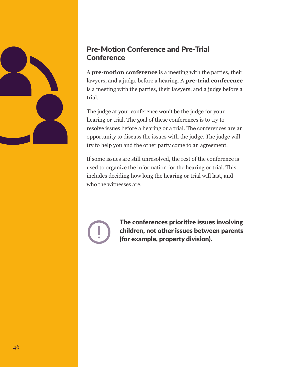

A **pre-motion conference** is a meeting with the parties, their lawyers, and a judge before a hearing. A **pre-trial conference** is a meeting with the parties, their lawyers, and a judge before a trial.

The judge at your conference won't be the judge for your hearing or trial. The goal of these conferences is to try to resolve issues before a hearing or a trial. The conferences are an opportunity to discuss the issues with the judge. The judge will try to help you and the other party come to an agreement.

If some issues are still unresolved, the rest of the conference is used to organize the information for the hearing or trial. This includes deciding how long the hearing or trial will last, and who the witnesses are.



The conferences prioritize issues involving children, not other issues between parents (for example, property division).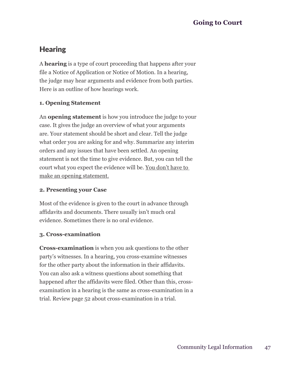# **Hearing**

A **hearing** is a type of court proceeding that happens after your file a Notice of Application or Notice of Motion. In a hearing, the judge may hear arguments and evidence from both parties. Here is an outline of how hearings work.

### **1. Opening Statement**

An **opening statement** is how you introduce the judge to your case. It gives the judge an overview of what your arguments are. Your statement should be short and clear. Tell the judge what order you are asking for and why. Summarize any interim orders and any issues that have been settled. An opening statement is not the time to give evidence. But, you can tell the court what you expect the evidence will be. You don't have to make an opening statement.

### **2. Presenting your Case**

Most of the evidence is given to the court in advance through affidavits and documents. There usually isn't much oral evidence. Sometimes there is no oral evidence.

### **3. Cross-examination**

**Cross-examination** is when you ask questions to the other party's witnesses. In a hearing, you cross-examine witnesses for the other party about the information in their affidavits. You can also ask a witness questions about something that happened after the affidavits were filed. Other than this, crossexamination in a hearing is the same as cross-examination in a trial. Review page 52 about cross-examination in a trial.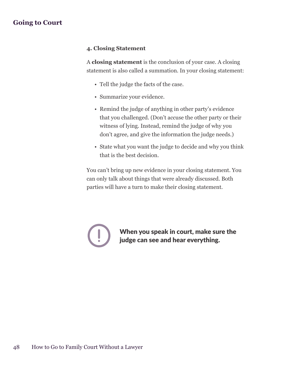### **4. Closing Statement**

A **closing statement** is the conclusion of your case. A closing statement is also called a summation. In your closing statement:

- Tell the judge the facts of the case.
- Summarize your evidence.
- Remind the judge of anything in other party's evidence that you challenged. (Don't accuse the other party or their witness of lying. Instead, remind the judge of why you don't agree, and give the information the judge needs.)
- State what you want the judge to decide and why you think that is the best decision.

You can't bring up new evidence in your closing statement. You can only talk about things that were already discussed. Both parties will have a turn to make their closing statement.



When you speak in court, make sure the judge can see and hear everything.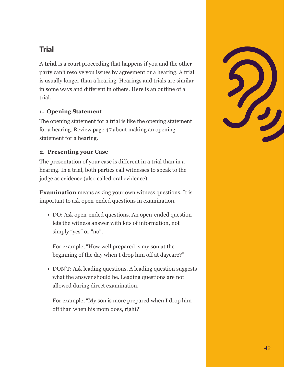# **Trial**

A **trial** is a court proceeding that happens if you and the other party can't resolve you issues by agreement or a hearing. A trial is usually longer than a hearing. Hearings and trials are similar in some ways and different in others. Here is an outline of a trial.

### **1. Opening Statement**

The opening statement for a trial is like the opening statement for a hearing. Review page 47 about making an opening statement for a hearing.

### **2. Presenting your Case**

The presentation of your case is different in a trial than in a hearing. In a trial, both parties call witnesses to speak to the judge as evidence (also called oral evidence).

**Examination** means asking your own witness questions. It is important to ask open-ended questions in examination.

• DO: Ask open-ended questions. An open-ended question lets the witness answer with lots of information, not simply "yes" or "no".

For example, "How well prepared is my son at the beginning of the day when I drop him off at daycare?"

• DON'T: Ask leading questions. A leading question suggests what the answer should be. Leading questions are not allowed during direct examination.

For example, "My son is more prepared when I drop him off than when his mom does, right?"

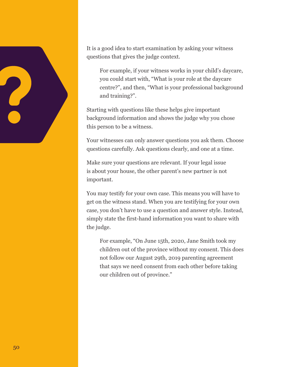It is a good idea to start examination by asking your witness questions that gives the judge context.

For example, if your witness works in your child's daycare, you could start with, "What is your role at the daycare centre?", and then, "What is your professional background and training?".

Starting with questions like these helps give important background information and shows the judge why you chose this person to be a witness.

Your witnesses can only answer questions you ask them. Choose questions carefully. Ask questions clearly, and one at a time.

Make sure your questions are relevant. If your legal issue is about your house, the other parent's new partner is not important.

You may testify for your own case. This means you will have to get on the witness stand. When you are testifying for your own case, you don't have to use a question and answer style. Instead, simply state the first-hand information you want to share with the judge.

For example, "On June 15th, 2020, Jane Smith took my children out of the province without my consent. This does not follow our August 29th, 2019 parenting agreement that says we need consent from each other before taking our children out of province."

 $\overline{\phantom{a}}$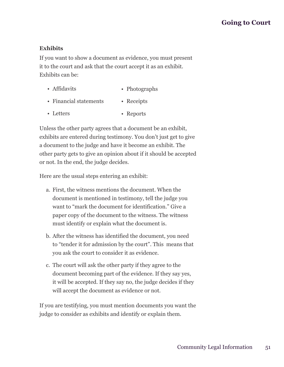### **Exhibits**

If you want to show a document as evidence, you must present it to the court and ask that the court accept it as an exhibit. Exhibits can be:

- Affidavits • Photographs
- Financial statements • Receipts
- Letters • Reports

Unless the other party agrees that a document be an exhibit, exhibits are entered during testimony. You don't just get to give a document to the judge and have it become an exhibit. The other party gets to give an opinion about if it should be accepted or not. In the end, the judge decides.

Here are the usual steps entering an exhibit:

- a. First, the witness mentions the document. When the document is mentioned in testimony, tell the judge you want to "mark the document for identification." Give a paper copy of the document to the witness. The witness must identify or explain what the document is.
- b. After the witness has identified the document, you need to "tender it for admission by the court". This means that you ask the court to consider it as evidence.
- c. The court will ask the other party if they agree to the document becoming part of the evidence. If they say yes, it will be accepted. If they say no, the judge decides if they will accept the document as evidence or not.

If you are testifying, you must mention documents you want the judge to consider as exhibits and identify or explain them.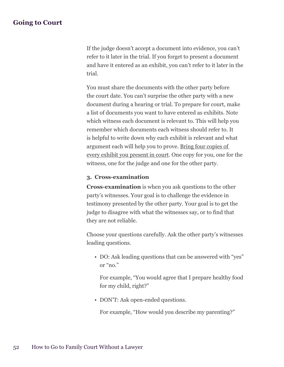If the judge doesn't accept a document into evidence, you can't refer to it later in the trial. If you forget to present a document and have it entered as an exhibit, you can't refer to it later in the trial.

You must share the documents with the other party before the court date. You can't surprise the other party with a new document during a hearing or trial. To prepare for court, make a list of documents you want to have entered as exhibits. Note which witness each document is relevant to. This will help you remember which documents each witness should refer to. It is helpful to write down why each exhibit is relevant and what argument each will help you to prove. Bring four copies of every exhibit you present in court. One copy for you, one for the witness, one for the judge and one for the other party.

### **3. Cross-examination**

**Cross-examination** is when you ask questions to the other party's witnesses. Your goal is to challenge the evidence in testimony presented by the other party. Your goal is to get the judge to disagree with what the witnesses say, or to find that they are not reliable.

Choose your questions carefully. Ask the other party's witnesses leading questions.

• DO: Ask leading questions that can be answered with "yes" or "no."

For example, "You would agree that I prepare healthy food for my child, right?"

• DON'T: Ask open-ended questions.

For example, "How would you describe my parenting?"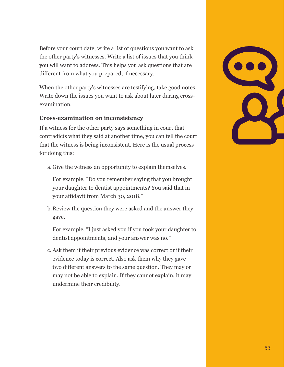Before your court date, write a list of questions you want to ask the other party's witnesses. Write a list of issues that you think you will want to address. This helps you ask questions that are different from what you prepared, if necessary.

When the other party's witnesses are testifying, take good notes. Write down the issues you want to ask about later during crossexamination.

### **Cross-examination on inconsistency**

If a witness for the other party says something in court that contradicts what they said at another time, you can tell the court that the witness is being inconsistent. Here is the usual process for doing this:

a. Give the witness an opportunity to explain themselves.

For example, "Do you remember saying that you brought your daughter to dentist appointments? You said that in your affidavit from March 30, 2018."

b.Review the question they were asked and the answer they gave.

For example, "I just asked you if you took your daughter to dentist appointments, and your answer was no."

c. Ask them if their previous evidence was correct or if their evidence today is correct. Also ask them why they gave two different answers to the same question. They may or may not be able to explain. If they cannot explain, it may undermine their credibility.

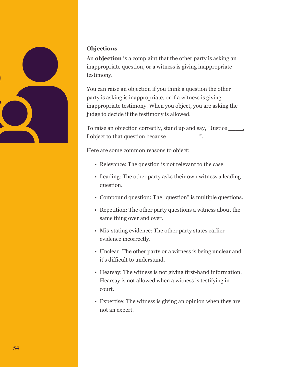

### **Objections**

An **objection** is a complaint that the other party is asking an inappropriate question, or a witness is giving inappropriate testimony.

You can raise an objection if you think a question the other party is asking is inappropriate, or if a witness is giving inappropriate testimony. When you object, you are asking the judge to decide if the testimony is allowed.

To raise an objection correctly, stand up and say, "Justice \_\_\_\_\_, I object to that question because  $\dddot{ }$ .

Here are some common reasons to object:

- Relevance: The question is not relevant to the case.
- Leading: The other party asks their own witness a leading question.
- Compound question: The "question" is multiple questions.
- Repetition: The other party questions a witness about the same thing over and over.
- Mis-stating evidence: The other party states earlier evidence incorrectly.
- Unclear: The other party or a witness is being unclear and it's difficult to understand.
- Hearsay: The witness is not giving first-hand information. Hearsay is not allowed when a witness is testifying in court.
- Expertise: The witness is giving an opinion when they are not an expert.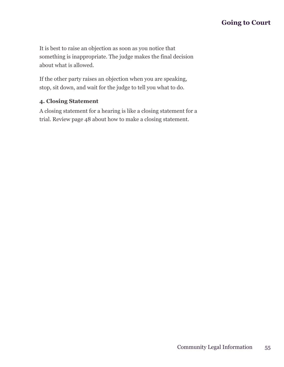It is best to raise an objection as soon as you notice that something is inappropriate. The judge makes the final decision about what is allowed.

If the other party raises an objection when you are speaking, stop, sit down, and wait for the judge to tell you what to do.

### **4. Closing Statement**

A closing statement for a hearing is like a closing statement for a trial. Review page 48 about how to make a closing statement.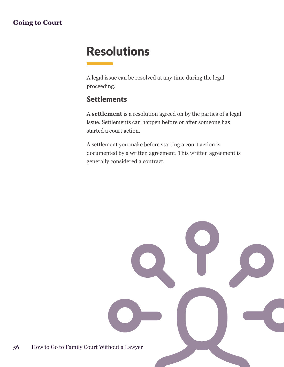# Resolutions

A legal issue can be resolved at any time during the legal proceeding.

# **Settlements**

A **settlement** is a resolution agreed on by the parties of a legal issue. Settlements can happen before or after someone has started a court action.

A settlement you make before starting a court action is documented by a written agreement. This written agreement is generally considered a contract.

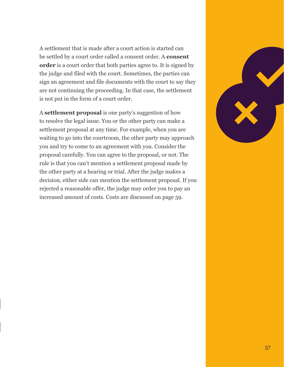A settlement that is made after a court action is started can be settled by a court order called a consent order. A **consent order** is a court order that both parties agree to. It is signed by the judge and filed with the court. Sometimes, the parties can sign an agreement and file documents with the court to say they are not continuing the proceeding. In that case, the settlement is not put in the form of a court order.

A **settlement proposal** is one party's suggestion of how to resolve the legal issue. You or the other party can make a settlement proposal at any time. For example, when you are waiting to go into the courtroom, the other party may approach you and try to come to an agreement with you. Consider the proposal carefully. You can agree to the proposal, or not. The rule is that you can't mention a settlement proposal made by the other party at a hearing or trial. After the judge makes a decision, either side can mention the settlement proposal. If you rejected a reasonable offer, the judge may order you to pay an increased amount of costs. Costs are discussed on page 59.

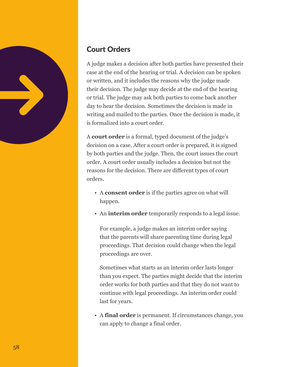

# Court Orders

A judge makes a decision after both parties have presented their case at the end of the hearing or trial. A decision can be spoken or written, and it includes the reasons why the judge made their decision. The judge may decide at the end of the hearing or trial. The judge may ask both parties to come back another day to hear the decision. Sometimes the decision is made in writing and mailed to the parties. Once the decision is made, it is formalized into a court order.

A **court order** is a formal, typed document of the judge's decision on a case. After a court order is prepared, it is signed by both parties and the judge. Then, the court issues the court order. A court order usually includes a decision but not the reasons for the decision. There are different types of court orders.

- A **consent order** is if the parties agree on what will happen.
- An **interim order** temporarily responds to a legal issue.

For example, a judge makes an interim order saying that the parents will share parenting time during legal proceedings. That decision could change when the legal proceedings are over.

Sometimes what starts as an interim order lasts longer than you expect. The parties might decide that the interim order works for both parties and that they do not want to continue with legal proceedings. An interim order could last for years.

• A **final order** is permanent. If circumstances change, you can apply to change a final order.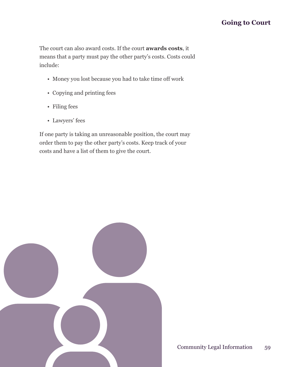The court can also award costs. If the court **awards costs**, it means that a party must pay the other party's costs. Costs could include:

- Money you lost because you had to take time off work
- Copying and printing fees
- Filing fees
- Lawyers' fees

If one party is taking an unreasonable position, the court may order them to pay the other party's costs. Keep track of your costs and have a list of them to give the court.

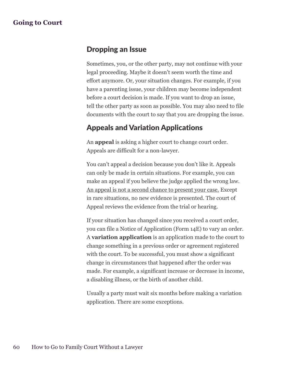### Dropping an Issue

Sometimes, you, or the other party, may not continue with your legal proceeding. Maybe it doesn't seem worth the time and effort anymore. Or, your situation changes. For example, if you have a parenting issue, your children may become independent before a court decision is made. If you want to drop an issue, tell the other party as soon as possible. You may also need to file documents with the court to say that you are dropping the issue.

### Appeals and Variation Applications

An **appeal** is asking a higher court to change court order. Appeals are difficult for a non-lawyer.

You can't appeal a decision because you don't like it. Appeals can only be made in certain situations. For example, you can make an appeal if you believe the judge applied the wrong law. An appeal is not a second chance to present your case. Except in rare situations, no new evidence is presented. The court of Appeal reviews the evidence from the trial or hearing.

If your situation has changed since you received a court order, you can file a Notice of Application (Form 14E) to vary an order. A **variation application** is an application made to the court to change something in a previous order or agreement registered with the court. To be successful, you must show a significant change in circumstances that happened after the order was made. For example, a significant increase or decrease in income, a disabling illness, or the birth of another child.

Usually a party must wait six months before making a variation application. There are some exceptions.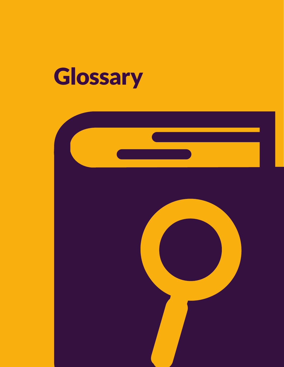

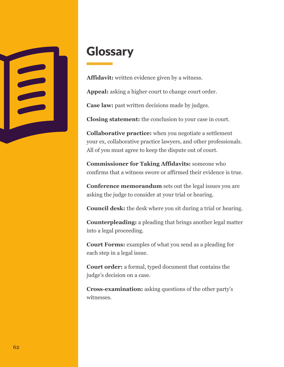# **Glossary**

**Affidavit:** written evidence given by a witness.

**Appeal:** asking a higher court to change court order.

**Case law:** past written decisions made by judges.

**Closing statement:** the conclusion to your case in court.

**Collaborative practice:** when you negotiate a settlement your ex, collaborative practice lawyers, and other professionals. All of you must agree to keep the dispute out of court.

**Commissioner for Taking Affidavits:** someone who confirms that a witness swore or affirmed their evidence is true.

**Conference memorandum** sets out the legal issues you are asking the judge to consider at your trial or hearing.

**Council desk:** the desk where you sit during a trial or hearing.

**Counterpleading:** a pleading that brings another legal matter into a legal proceeding.

**Court Forms:** examples of what you send as a pleading for each step in a legal issue.

**Court order:** a formal, typed document that contains the judge's decision on a case.

**Cross-examination:** asking questions of the other party's witnesses.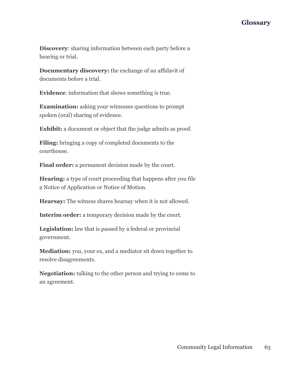# **Glossary**

**Discovery**: sharing information between each party before a hearing or trial.

**Documentary discovery:** the exchange of an affidavit of documents before a trial.

**Evidence**: information that shows something is true.

**Examination:** asking your witnesses questions to prompt spoken (oral) sharing of evidence.

**Exhibit:** a document or object that the judge admits as proof.

**Filing:** bringing a copy of completed documents to the courthouse.

**Final order:** a permanent decision made by the court.

**Hearing:** a type of court proceeding that happens after you file a Notice of Application or Notice of Motion.

**Hearsay:** The witness shares hearsay when it is not allowed.

**Interim order:** a temporary decision made by the court.

**Legislation:** law that is passed by a federal or provincial government.

**Mediation:** you, your ex, and a mediator sit down together to resolve disagreements.

**Negotiation:** talking to the other person and trying to come to an agreement.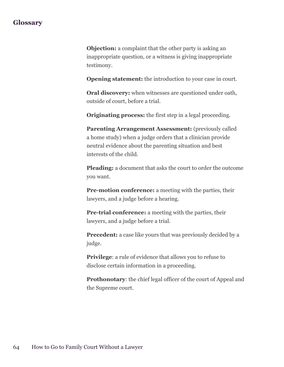### **Glossary**

**Objection:** a complaint that the other party is asking an inappropriate question, or a witness is giving inappropriate testimony.

**Opening statement:** the introduction to your case in court.

**Oral discovery:** when witnesses are questioned under oath, outside of court, before a trial.

**Originating process:** the first step in a legal proceeding.

**Parenting Arrangement Assessment: (previously called)** a home study) when a judge orders that a clinician provide neutral evidence about the parenting situation and best interests of the child.

**Pleading:** a document that asks the court to order the outcome you want.

**Pre-motion conference:** a meeting with the parties, their lawyers, and a judge before a hearing.

**Pre-trial conference:** a meeting with the parties, their lawyers, and a judge before a trial.

**Precedent:** a case like yours that was previously decided by a judge.

**Privilege**: a rule of evidence that allows you to refuse to disclose certain information in a proceeding.

**Prothonotary**: the chief legal officer of the court of Appeal and the Supreme court.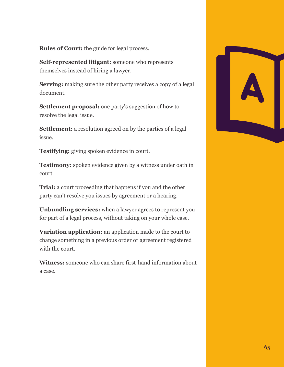**Rules of Court:** the guide for legal process.

**Self-represented litigant:** someone who represents themselves instead of hiring a lawyer.

**Serving:** making sure the other party receives a copy of a legal document.

**Settlement proposal:** one party's suggestion of how to resolve the legal issue.

**Settlement:** a resolution agreed on by the parties of a legal issue.

**Testifying:** giving spoken evidence in court.

**Testimony:** spoken evidence given by a witness under oath in court.

**Trial:** a court proceeding that happens if you and the other party can't resolve you issues by agreement or a hearing.

**Unbundling services:** when a lawyer agrees to represent you for part of a legal process, without taking on your whole case.

**Variation application:** an application made to the court to change something in a previous order or agreement registered with the court.

**Witness:** someone who can share first-hand information about a case.

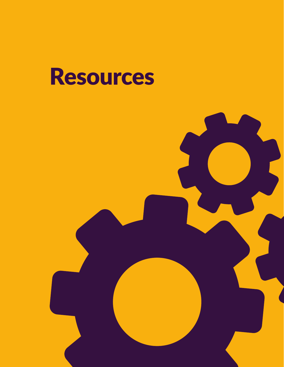

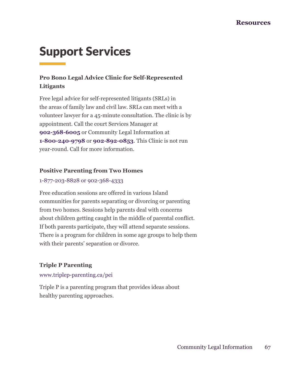# Support Services

# **Pro Bono Legal Advice Clinic for Self-Represented Litigants**

Free legal advice for self-represented litigants (SRLs) in the areas of family law and civil law. SRLs can meet with a volunteer lawyer for a 45-minute consultation. The clinic is by appointment. Call the court Services Manager at **902-368-6005** or Community Legal Information at **1-800-240-9798** or **902-892-0853**. This Clinic is not run year-round. Call for more information.

### **Positive Parenting from Two Homes**

### 1-877-203-8828 or 902-368-4333

Free education sessions are offered in various Island communities for parents separating or divorcing or parenting from two homes. Sessions help parents deal with concerns about children getting caught in the middle of parental conflict. If both parents participate, they will attend separate sessions. There is a program for children in some age groups to help them with their parents' separation or divorce.

### **Triple P Parenting**

### www.triplep-parenting.ca/pei

Triple P is a parenting program that provides ideas about healthy parenting approaches.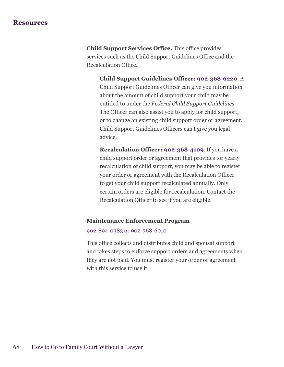### **Resources**

**Child Support Services Office.** This office provides services such as the Child Support Guidelines Office and the Recalculation Office.

**Child Support Guidelines Officer: 902-368-6220**. A Child Support Guidelines Officer can give you information about the amount of child support your child may be entitled to under the *Federal Child Support Guidelines.* The Officer can also assist you to apply for child support, or to change an existing child support order or agreement. Child Support Guidelines Officers can't give you legal advice.

**Recalculation Officer: 902-368-4109**. If you have a child support order or agreement that provides for yearly recalculation of child support, you may be able to register your order or agreement with the Recalculation Officer to get your child support recalculated annually. Only certain orders are eligible for recalculation. Contact the Recalculation Officer to see if you are eligible.

#### **Maintenance Enforcement Program**

#### 902-894-0383 or 902-368-6010

This office collects and distributes child and spousal support and takes steps to enforce support orders and agreements when they are not paid. You must register your order or agreement with this service to use it.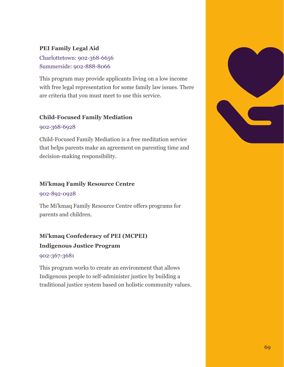### **PEI Family Legal Aid**

Charlottetown: 902-368-6656 Summerside: 902-888-8066

This program may provide applicants living on a low income with free legal representation for some family law issues. There are criteria that you must meet to use this service.

### **Child-Focused Family Mediation**

### 902-368-6928

Child-Focused Family Mediation is a free meditation service that helps parents make an agreement on parenting time and decision-making responsibility.

### **Mi'kmaq Family Resource Centre**

### 902-892-0928

The Mi'kmaq Family Resource Centre offers programs for parents and children.

# **Mi'kmaq Confederacy of PEI (MCPEI) Indigenous Justice Program**

### 902-367-3681

This program works to create an environment that allows Indigenous people to self-administer justice by building a traditional justice system based on holistic community values.

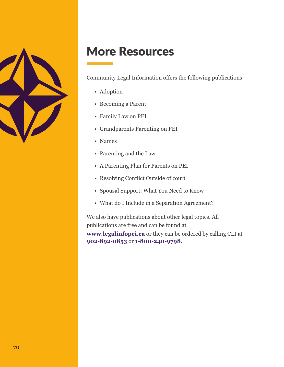

# More Resources

Community Legal Information offers the following publications:

- Adoption
- Becoming a Parent
- Family Law on PEI
- Grandparents Parenting on PEI
- Names
- Parenting and the Law
- A Parenting Plan for Parents on PEI
- Resolving Conflict Outside of court
- Spousal Support: What You Need to Know
- What do I Include in a Separation Agreement?

We also have publications about other legal topics. All publications are free and can be found at **www.legalinfopei.ca** or they can be ordered by calling CLI at **902-892-0853** or **1-800-240-9798.**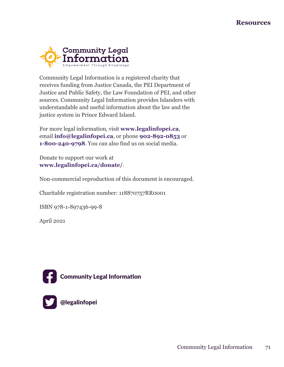### **Resources**



Community Legal Information is a registered charity that receives funding from Justice Canada, the PEI Department of Justice and Public Safety, the Law Foundation of PEI, and other sources. Community Legal Information provides Islanders with understandable and useful information about the law and the justice system in Prince Edward Island.

For more legal information, visit **www.legalinfopei.ca**, email **info@legalinfopei.ca**, or phone **902-892-0853** or **1-800-240-9798**. You can also find us on social media.

Donate to support our work at **www.legalinfopei.ca/donate/**.

Non-commercial reproduction of this document is encouraged.

Charitable registration number: 118870757RR0001

ISBN 978-1-897436-99-8

April 2021